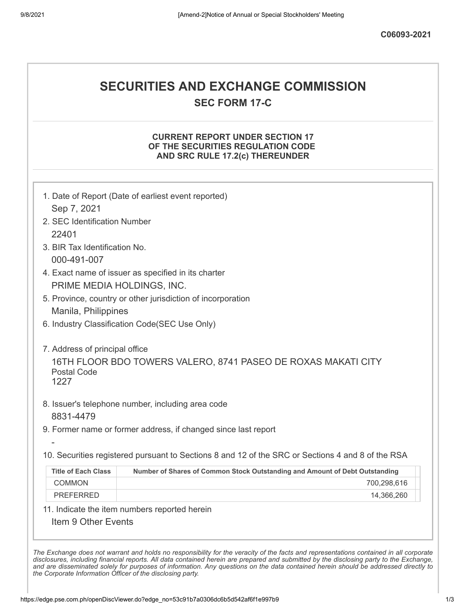# **SECURITIES AND EXCHANGE COMMISSION**

**SEC FORM 17-C**

#### **CURRENT REPORT UNDER SECTION 17 OF THE SECURITIES REGULATION CODE AND SRC RULE 17.2(c) THEREUNDER**

|                                                                      | 1. Date of Report (Date of earliest event reported)                                               |  |
|----------------------------------------------------------------------|---------------------------------------------------------------------------------------------------|--|
| Sep 7, 2021                                                          |                                                                                                   |  |
| 2. SEC Identification Number                                         |                                                                                                   |  |
| 22401                                                                |                                                                                                   |  |
| 3. BIR Tax Identification No.                                        |                                                                                                   |  |
| 000-491-007                                                          |                                                                                                   |  |
|                                                                      | 4. Exact name of issuer as specified in its charter                                               |  |
| PRIME MEDIA HOLDINGS, INC.                                           |                                                                                                   |  |
|                                                                      | 5. Province, country or other jurisdiction of incorporation                                       |  |
| Manila, Philippines                                                  |                                                                                                   |  |
| 6. Industry Classification Code(SEC Use Only)                        |                                                                                                   |  |
| 7. Address of principal office<br><b>Postal Code</b><br>1227         | 16TH FLOOR BDO TOWERS VALERO, 8741 PASEO DE ROXAS MAKATI CITY                                     |  |
| 8831-4479                                                            | 8. Issuer's telephone number, including area code                                                 |  |
|                                                                      | 9. Former name or former address, if changed since last report                                    |  |
|                                                                      |                                                                                                   |  |
|                                                                      | 10. Securities registered pursuant to Sections 8 and 12 of the SRC or Sections 4 and 8 of the RSA |  |
| <b>Title of Each Class</b>                                           | Number of Shares of Common Stock Outstanding and Amount of Debt Outstanding                       |  |
| <b>COMMON</b>                                                        | 700,298,616                                                                                       |  |
| <b>PREFERRED</b>                                                     | 14,366,260                                                                                        |  |
| 11. Indicate the item numbers reported herein<br>Item 9 Other Events |                                                                                                   |  |

The Exchange does not warrant and holds no responsibility for the veracity of the facts and representations contained in all corporate disclosures, including financial reports. All data contained herein are prepared and submitted by the disclosing party to the Exchange, and are disseminated solely for purposes of information. Any questions on the data contained herein should be addressed directly to *the Corporate Information Officer of the disclosing party.*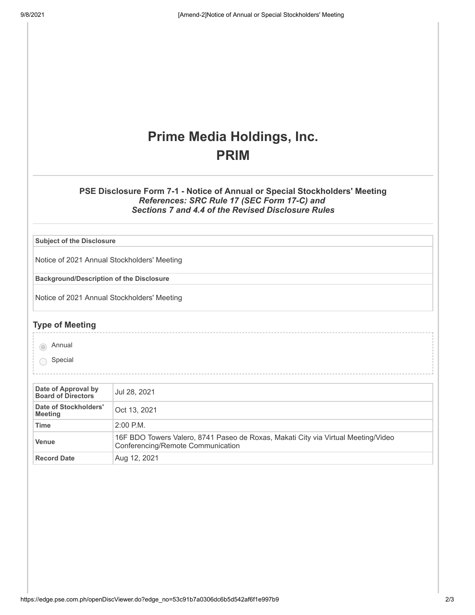## **Prime Media Holdings, Inc. PRIM**

#### **PSE Disclosure Form 7-1 - Notice of Annual or Special Stockholders' Meeting** *References: SRC Rule 17 (SEC Form 17-C) and Sections 7 and 4.4 of the Revised Disclosure Rules*

**Subject of the Disclosure**

Notice of 2021 Annual Stockholders' Meeting

**Background/Description of the Disclosure**

Notice of 2021 Annual Stockholders' Meeting

### **Type of Meeting**

annual

Special

| Date of Approval by<br><b>Board of Directors</b> | Jul 28, 2021                                                                                                           |  |
|--------------------------------------------------|------------------------------------------------------------------------------------------------------------------------|--|
| Date of Stockholders'<br><b>Meeting</b>          | Oct 13, 2021                                                                                                           |  |
| Time                                             | $2:00$ P.M.                                                                                                            |  |
| Venue                                            | 16F BDO Towers Valero, 8741 Paseo de Roxas, Makati City via Virtual Meeting/Video<br>Conferencing/Remote Communication |  |
| <b>Record Date</b>                               | Aug 12, 2021                                                                                                           |  |